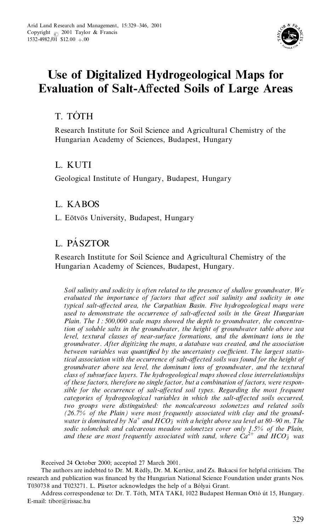

# **Use of Digitalized Hydrogeological Maps for Evaluation of Salt-A ected Soils of Large Areas**

# T. TÓTH

Research Institute for Soil Science and Agricultural Chemistry of the Hungarian Academy of Sciences, Budapest, Hungary

# L. KUTI

Geological Institute of Hungary, Budapest, Hungary

# L. KABOS

L. Eötvös University, Budapest, Hungary

# L. PÁSZTOR

Research Institute for Soil Science and Agricultural Chemistry of the Hungarian Academy of Sciences, Budapest, Hungary.

*Soil salinity and sodicity is often related to the presence of shallow groundwater. W e evaluated the importance of factors that a ect soil salinity and sodicity in one typical salt-a ected area, the Carpathian Basin. Five hydrogeological maps were used to demonstrate the occurrence of salt-a ected soils in the Great Hungarian Plain. The 1 : 500,000 scale maps showed the depth to groundwater, the concentration of soluble salts in the groundwater, the height of groundwater table above sea level, textural classes of near-surface formations, and the dominant ions in the groundwater. After digitizing the maps, a database was created, and the association between* variables was quantified by the uncertainty coefficient. The largest statis*tical association with the occurrence of salt-a ected soils was found for the height of groundwater above sea level, the dominant ions of groundwater, and the textural class of subsurface layers. The hydrogeological maps showed close interrelationships of these factors, therefore no single factor, but a combination of factors, were respon sible for the occurrence of salt-a ected soil types. Regarding the most frequent categories of hydrogeological variables in which the salt-a ected soils occurred, two groups were distinguished: the noncalcareous solonetzes and related soils (26.7% of the Plain) were most frequently associated with clay and the ground water is dominated by Na*‡ *and HCO*<sup>±</sup> *<sup>3</sup> with a height above sea level at 80±90 m. The sodic solonchak and calcareous meadow solonetzes cover only 1.5% of the Plain, and these are most frequently associated with sand, where Ca*2‡ *and HCO*<sup>±</sup> *<sup>3</sup> was*

Received 24 October 2000; accepted 27 March 2001.

The authors are indebted to Dr. M. Rédly, Dr. M. Kertész, and Zs. Bakacsi for helpful criticism. The research and publication was financed by the Hungarian National Science Foundation under grants Nos. T030738 and T023271. L. Pásztor acknowledges the help of a Bólyai Grant.

Address correspondence to: Dr. T. Tóth, MTA TAKI, 1022 Budapest Herman Ottó út 15, Hungary. E-mail: tibor@rissac.hu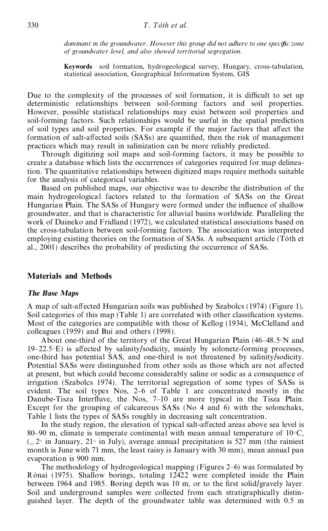*dominant* in the groundwater. However this group did not adhere to one specific zone *of groundwater level, and also showed territorial segregation.*

**Keywords** soil formation, hydrogeological survey, Hungary, cross-tabulation, statistical association, Geographical Information System, GIS

Due to the complexity of the processes of soil formation, it is difficult to set up deterministic relationships between soil-forming factors and soil properties. However, possible statistical relationships may exist between soil properties and soil-forming factors. Such relationships would be useful in the spatial prediction of soil types and soil properties. For example if the major factors that affect the formation of salt-affected soils (SASs) are quantified, then the risk of management practices which may result in salinization can be more reliably predicted.

Through digitizing soil maps and soil-forming factors, it may be possible to create a database which lists the occurrences of categories required for map delineation. The quantitative relationships between digitized maps require methods suitable for the analysis of categorical variables.

Based on published maps, our objective was to describe the distribution of the main hydrogeological factors related to the formation of SASs on the Great Hungarian Plain. The SASs of Hungary were formed under the influence of shallow groundwater, and that is characteristic for alluvial basins worldwide. Paralleling the work of Daineko and Fridland (1972), we calculated statistical associations based on the cross-tabulation between soil-forming factors. The association was interpreted employing existing theories on the formation of SASs. A subsequent article (Toth et al., 2001) describes the probability of predicting the occurrence of SASs.

### **Materials and Methods**

#### *The Base Maps*

A map of salt-affected Hungarian soils was published by Szabolcs (1974) (Figure 1). Soil categories of this map (Table 1) are correlated with other classification systems. Most of the categories are compatible with those of Kellog (1934), McClelland and colleagues (1959) and Bui and others (1998).

About one-third of the territory of the Great Hungarian Plain (46–48.5°N and 19–22.5°E) is affected by salinity/sodicity, mainly by solonetz-forming processes, one-third has potential SAS, and one-third is not threatened by salinity/sodicity. Potential SASs were distinguished from other soils as those which are not affected at present, but which could become considerably saline or sodic as a consequence of irrigation (Szabolcs 1974). The territorial segregation of some types of SASs is evident. The soil types Nos, 2–6 of Table 1 are concentrated mostly in the Danube-Tisza Interfluve, the Nos, 7-10 are more typical in the Tisza Plain. Except for the grouping of calcareous SASs (No 4 and 6) with the solonchaks, Table 1 lists the types of SASs roughly in decreasing salt concentration.

In the study region, the elevation of typical salt-affected areas above sea level is 80–90 m, climate is temperate continental with mean annual temperature of  $10\degree\text{C}$ ,  $(-2^{\circ})$  in January, 21 $^{\circ}$  in July), average annual precipitation is 527 mm (the rainiest month is June with 71 mm, the least rainy is January with 30 mm), mean annual pan evaporation is 900 mm.

The methodology of hydrogeological mapping (Figures 2–6) was formulated by Rónai (1975). Shallow borings, totaling 12422 were completed inside the Plain between 1964 and 1985. Boring depth was 10 m, or to the first solid/gravely layer. Soil and underground samples were collected from each stratigraphically distin guished layer. The depth of the groundwater table was determined with 0.5 m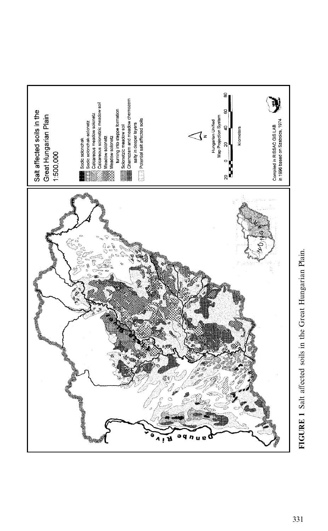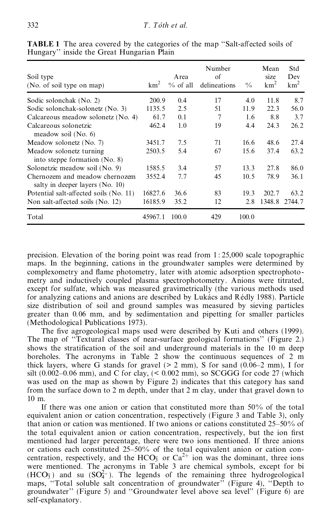| Soil type<br>(No. of soil type on map)                            | km <sup>2</sup> | A rea<br>$\%$ of all | Number<br>of<br>delineations | $\frac{0}{0}$ | Mean<br>size<br>km <sup>2</sup> | Std<br>Dev<br>$km^2$ |
|-------------------------------------------------------------------|-----------------|----------------------|------------------------------|---------------|---------------------------------|----------------------|
| Sodic solonchak (No. 2)                                           | 200.9           | 0.4                  | 17                           | 4.0           | 11.8                            | 8.7                  |
| Sodic solonchak-solonetz (No. 3)                                  | 1135.5          | 2.5                  | 51                           | 11.9          | 22.3                            | 56.0                 |
| Calcareous meadow solonetz (No. 4)                                | 61.7            | 0.1                  | 7                            | 1.6           | 8.8                             | 3.7                  |
| Calcareous solonetzic<br>meadow soil $(No. 6)$                    | 462.4           | 1.0                  | 19                           | 4.4           | 24.3                            | 26.2                 |
| Meadow solonetz (No. 7)                                           | 3451.7          | 7.5                  | 71                           | 16.6          | 48.6                            | 27.4                 |
| Meadow solonetz turning<br>into steppe formation $(No. 8)$        | 2503.5          | 5.4                  | 67                           | 15.6          | 37.4                            | 63.2                 |
| Solonetzic meadow soil (No. 9)                                    | 1585.5          | 3.4                  | 57                           | 13.3          | 27.8                            | 86.0                 |
| Chernozem and meadow chernozem<br>salty in deeper layers (No. 10) | 3552.4          | 7.7                  | 45                           | 10.5          | 78.9                            | 36.1                 |
| Potential salt-affected soils (No. 11)                            | 16827.6         | 36.6                 | 83                           | 19.3          | 202.7                           | 63.2                 |
| Non salt-affected soils (No. 12)                                  | 16185.9         | 35.2                 | 12                           | 2.8           | 1348.8                          | 2744.7               |
| Total                                                             | 45967.1         | 100.0                | 429                          | 100.0         |                                 |                      |

**TABLE 1** The area covered by the categories of the map "Salt-affected soils of Hungary' ' inside the Great Hungarian Plain

precision. Elevation of the boring point was read from 1 : 25,000 scale topographic maps. In the beginning, cations in the groundwater samples were determined by complexometry and flame photometry, later with atomic adsorption spectrophotometry and inductively coupled plasma spectrophotometry. Anions were titrated, except for sulfate, which was measured gravimetrically (the various methods used for analyzing cations and anions are described by Lukács and Rédly 1988). Particle size distribution of soil and ground samples was measured by sieving particles greater than 0.06 mm, and by sedimentation and pipetting for smaller particles (Methodological Publications 1973).

The five agrogeological maps used were described by Kuti and others (1999). The map of "Textural classes of near-surface geological formations" (Figure 2.) shows the stratification of the soil and underground materials in the 10 m deep boreholes. The acronyms in Table 2 show the continuous sequences of 2 m thick layers, where G stands for gravel  $(> 2 \text{ mm})$ , S for sand  $(0.06-2 \text{ mm})$ , I for silt  $(0.002-0.06$  mm), and C for clay,  $( $0.002$  mm), so SCGGG for code 27 (which$ was used on the map as shown by Figure 2) indicates that this category has sand from the surface down to 2 m depth, under that 2 m clay, under that gravel down to 10 m.

If there was one anion or cation that constituted more than 50% of the total equivalent anion or cation concentration, respectively (Figure 3 and Table 3), only that anion or cation was mentioned. If two anions or cations constituted  $25-50\%$  of the total equivalent anion or cation concentration, respectively, but the ion first mentioned had larger percentage, there were two ions mentioned. If three anions or cations each constituted  $25-50\%$  of the total equivalent anion or cation concentration, respectively, and the HCO<sub>3</sub> or Ca<sup>2+</sup> ion was the dominant, three ions were mentioned. The acronyms in Table 3 are chemical symbols, except for bi  $(HCO<sub>3</sub>)$  and su  $(SO<sub>4</sub><sup>2</sup>)$ . The legends of the remaining three hydrogeological maps, "Total soluble salt concentration of groundwater" (Figure 4), "Depth to groundwater" (Figure 5) and "Groundwater level above sea level" (Figure 6) are self-explanatory.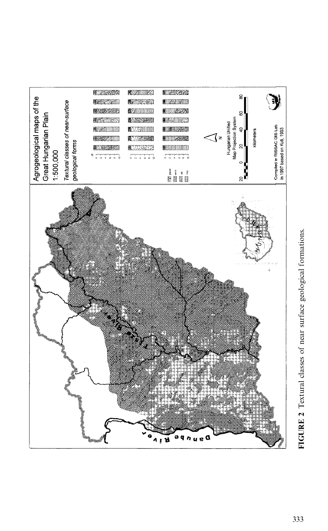

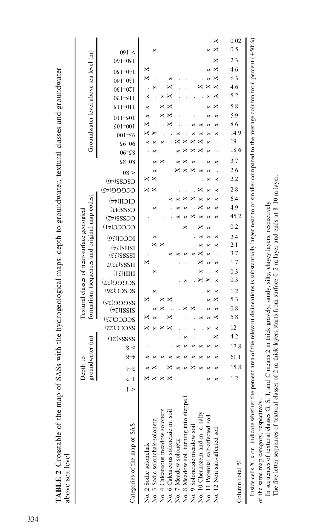| ABLE 2 Crosstable of |               |  | map of SASs with the hydrogeological maps: depth to groundwater, textural classes and groun |  |
|----------------------|---------------|--|---------------------------------------------------------------------------------------------|--|
| bove sea level       |               |  |                                                                                             |  |
|                      |               |  |                                                                                             |  |
|                      | $\frac{1}{2}$ |  |                                                                                             |  |

| above sea level                                                                                                                                                                                                                                                                                                                                                                                                 |                  |                             |      |       |      |               |           |           |                              |     |           |            |                                           |                             |                                                                                              |           |                                                                  |          |                  |           |        |                      |      |           |           |         |            |                                   |     |           |                      |                              |                                       |           |       |      |
|-----------------------------------------------------------------------------------------------------------------------------------------------------------------------------------------------------------------------------------------------------------------------------------------------------------------------------------------------------------------------------------------------------------------|------------------|-----------------------------|------|-------|------|---------------|-----------|-----------|------------------------------|-----|-----------|------------|-------------------------------------------|-----------------------------|----------------------------------------------------------------------------------------------|-----------|------------------------------------------------------------------|----------|------------------|-----------|--------|----------------------|------|-----------|-----------|---------|------------|-----------------------------------|-----|-----------|----------------------|------------------------------|---------------------------------------|-----------|-------|------|
|                                                                                                                                                                                                                                                                                                                                                                                                                 |                  | groundwater (m)<br>Depth to |      |       |      |               |           |           |                              |     |           |            |                                           |                             | formations (sequences and original map codes)<br>Textural classes of near-surface geological |           |                                                                  |          |                  |           |        |                      |      |           |           |         |            |                                   |     |           |                      |                              | Groundwater level above sea level (m) |           |       |      |
| Categories of the map of SAS                                                                                                                                                                                                                                                                                                                                                                                    | 7<br>I<br>$\geq$ | $\bar{c}$<br>t              |      | $8-t$ | 8 <  | $(17)$ SSSSSS | (ZZ) COCC | 2CCCC(53) | $(57)$ O $O$<br>$(tz)$ ISSIS |     | SCZCC(50) | 2CCGGC(51) | $L(\mathcal{IE})$ SSSII<br>$(1\xi)$ IIIII | $(\epsilon \epsilon)$ SSSSI | $(F \epsilon)$ SIISI                                                                         | ICCCI(30) | $\mathrm{C}\mathrm{C}\mathrm{C}\mathrm{C}\mathrm{(}4\mathrm{I})$ | CCZZ5(7) | $C222(\text{t})$ | CICII(44) | CCCCGG | $CSCZ(\forall \ell)$ | 08 > | $$8 - 08$ | $06 - 58$ | $$6-06$ | $001 - 56$ | 011-501<br>$$0I$ <sup>-00</sup> I |     | $SII=0II$ | 0ε I-07 I<br>071-SII | 0 <b><sup>b</sup></b> I-0ε Ι | 05 I-07 I                             | 09 I-05 I | 091 < |      |
| No. 2 Sodic solonchak                                                                                                                                                                                                                                                                                                                                                                                           |                  |                             |      |       |      |               |           |           |                              |     |           |            |                                           | ×                           |                                                                                              |           |                                                                  |          |                  |           | ×      | ×                    |      |           |           |         |            | ×                                 | ×   | ×         | ×                    |                              | ×<br>×                                |           |       |      |
| No. 3 Sodic solonchak-solonetz                                                                                                                                                                                                                                                                                                                                                                                  |                  |                             |      |       |      |               |           |           |                              |     | ×         |            | ×                                         |                             |                                                                                              | ×         |                                                                  |          | ×                |           |        |                      | ×    |           |           |         |            |                                   |     |           |                      | ×                            |                                       |           | ×     |      |
|                                                                                                                                                                                                                                                                                                                                                                                                                 |                  |                             |      |       |      |               |           |           |                              |     |           |            |                                           |                             |                                                                                              |           |                                                                  |          |                  |           |        |                      |      |           |           |         |            |                                   |     |           |                      |                              |                                       |           |       |      |
| No. 4 Calcareous meadow solonetz<br>No. 6 Calcareous solonetzic m. soil                                                                                                                                                                                                                                                                                                                                         |                  |                             |      |       |      |               |           |           |                              | ×   |           |            |                                           |                             |                                                                                              |           |                                                                  |          |                  |           |        |                      |      |           |           |         |            |                                   |     |           |                      |                              |                                       |           |       |      |
| No. 7 Meadow solonetz                                                                                                                                                                                                                                                                                                                                                                                           |                  |                             |      |       |      |               |           |           |                              |     |           |            |                                           |                             |                                                                                              |           |                                                                  |          |                  |           |        |                      |      |           |           |         |            |                                   |     |           |                      |                              |                                       |           |       |      |
| No. 8 Meadow sol. turning into steppe f.                                                                                                                                                                                                                                                                                                                                                                        |                  |                             |      |       |      |               |           |           |                              |     |           |            |                                           |                             |                                                                                              |           |                                                                  |          |                  |           |        |                      |      |           |           |         |            |                                   |     |           |                      |                              |                                       |           |       |      |
| No. 9 Solonetzic meadow soil                                                                                                                                                                                                                                                                                                                                                                                    |                  |                             |      |       |      |               |           |           |                              |     |           |            |                                           |                             |                                                                                              |           |                                                                  |          |                  |           |        |                      |      |           |           |         |            |                                   |     |           |                      |                              |                                       |           |       |      |
| No. 10 Chernozem and m. c. salty                                                                                                                                                                                                                                                                                                                                                                                |                  |                             |      |       |      |               |           |           |                              |     |           |            |                                           |                             |                                                                                              |           |                                                                  |          |                  |           |        |                      |      |           |           |         |            |                                   |     |           |                      |                              |                                       |           |       |      |
| No. 11 Potential salt-affected soil                                                                                                                                                                                                                                                                                                                                                                             |                  |                             |      |       |      |               |           |           |                              |     |           |            |                                           |                             |                                                                                              |           |                                                                  |          |                  |           |        |                      |      |           |           |         |            |                                   |     |           |                      |                              |                                       |           |       |      |
| No. 12 Non salt-affected soil                                                                                                                                                                                                                                                                                                                                                                                   |                  |                             |      |       |      |               |           |           |                              |     |           |            |                                           |                             |                                                                                              |           |                                                                  |          |                  |           |        | ×                    |      |           |           |         |            |                                   |     |           |                      |                              |                                       |           | ×     | ×    |
| Column total $\%$                                                                                                                                                                                                                                                                                                                                                                                               |                  | 1.2                         | 15.8 | 61.1  | 17.8 | 4.2           | 12        | 5.8       | 0.8                          | 5.3 | 1.2       | 0.3        | 0.3                                       | 1.7                         | 2.1<br>3.7                                                                                   | 2.4       | 0.2                                                              | 45.2     | 4.9              | 6.4       | 2.8    | 2.2                  | 2.6  | 3.7       | 18.6      | 19      | 14.9       | 8.6                               | 5.9 | 5.8       | 5.2                  | 4.6                          | 4.6<br>6.3                            | 2.3       | 0.5   | 0.02 |
| Inside cells X, x or . indicate whether the percent area of the relevant delineations is substantially larger near to or smaller compared to the average column total percent (±50%)<br>The five letter sequences of textural classes of 2 m thick layers starts from surface 0-2 m layer and ends at 8-10 m layer.<br>In sequences of textural classes G, S, I, and<br>of the same map category, respectively. |                  |                             |      |       |      |               |           |           |                              |     |           |            |                                           |                             | C means 2 m thick gravely, sandy, silty, clayey layers, respectively.                        |           |                                                                  |          |                  |           |        |                      |      |           |           |         |            |                                   |     |           |                      |                              |                                       |           |       |      |
|                                                                                                                                                                                                                                                                                                                                                                                                                 |                  |                             |      |       |      |               |           |           |                              |     |           |            |                                           |                             |                                                                                              |           |                                                                  |          |                  |           |        |                      |      |           |           |         |            |                                   |     |           |                      |                              |                                       |           |       |      |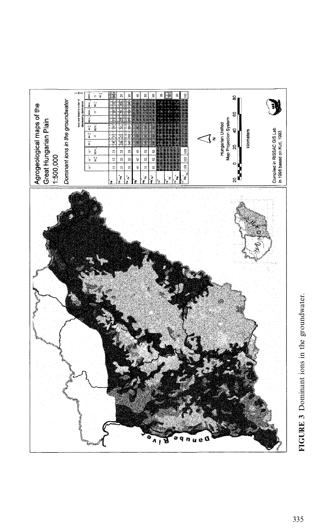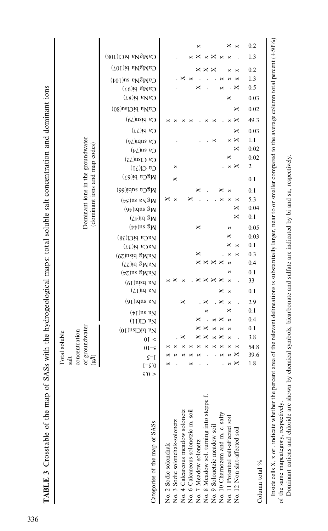| TABLE 3 Crosstable of the map of                                                                                                                                                                                                                                                                                                                                         | SASs with the hydrogeological maps: total soluble salt concentration and dominant ions<br>Total soluble<br>st                                                                                                                                                                                                                                                                                                                                                                                                                                                                                                                                                                                                             |
|--------------------------------------------------------------------------------------------------------------------------------------------------------------------------------------------------------------------------------------------------------------------------------------------------------------------------------------------------------------------------|---------------------------------------------------------------------------------------------------------------------------------------------------------------------------------------------------------------------------------------------------------------------------------------------------------------------------------------------------------------------------------------------------------------------------------------------------------------------------------------------------------------------------------------------------------------------------------------------------------------------------------------------------------------------------------------------------------------------------|
|                                                                                                                                                                                                                                                                                                                                                                          | Dominant ions in the groundwater<br>(dominant ions and map codes)<br>of groundwater<br>concentration<br>ति                                                                                                                                                                                                                                                                                                                                                                                                                                                                                                                                                                                                                |
| Categories of the map of SASs                                                                                                                                                                                                                                                                                                                                            | CaMgNa biCl(108)<br>$CaMgNa$ bi(107)<br>$CgWgWg$ ) is $PgWg$<br>$CaMg$ bi(97)<br>$CaNa$ bi(87)<br>CaNa biClsu(80)<br>Ca bisu(79)<br>$Ca$ bi( $77$ )<br>$Cg$ appi(19)<br>$Cg$ and $\sqrt{t}$<br>$Cg$ $C B $<br>$Ca$ $Cl(71)$<br>$MgCa$ bi(67)<br>$MgCa$ subi(66)<br>$(tS)$ ns e $N^3N$<br>$(9t)$ iqns $\sqrt{3}N$<br>$(L)$ iq $\mathcal{B}_N$<br>$(\flat\flat)$ ns $\mathbb{S}_N$<br>NaCa biCl(38)<br>$N^{\mathfrak{g}}(31)$<br>$(67)$ nsiq $\sqrt{3}$ <sub>NeN</sub><br>$(72)$ id gMaV<br>$(\nu z)$ ns $\sqrt{3}N_BN$<br>$(61)$ nisq $v_N$<br>$(L1)$ id s $V$<br>$(91)$ iqns $v_N$<br>$(\uparrow)$ ns e $\bar{N}$<br>$N_a$ Cl $(11)$<br>$Na$ biClsu $(10)$<br>01 <<br>$01-5$<br>$\zeta$ -I<br>$I-\zeta.0$<br>$\zeta$ :0 > |
| No. 8 Meadow sol. turning into steppe f.<br>No. 9 Solonetzic meadow soil<br>No. 4 Calcareous meadow solonetz<br>No. 6 Calcareous solonetzic m. soil<br>No. 10 Chernozem and m. c. salty<br>No. 11 Potential salt-affected soil<br>No. 3 Sodic solonchak-solonetz<br>No. 12 Non slat-affected soil<br>No. 7 Meadow solonetz<br>No. 2 Sodic solonchak<br>Column total $\%$ | 0.2<br>×<br>×<br>×<br>1.3<br>×<br>×<br>×<br>0.2<br>1.3<br>×<br>0.5<br>×<br>0.03<br>0.02<br>×<br>49.3<br>×<br>×<br>0.03<br>×<br>1.1<br>×<br>×<br>0.02<br>×<br>0.02<br>×<br>$\sqrt{2}$<br>×<br>×<br>×<br>0.1<br>×<br>0.1<br>5.3<br>×<br>×<br>0.04<br>×<br>0.1<br>×<br>0.05<br>×<br>×<br>×<br>0.03<br>0.1<br>×<br>×<br>×<br>0.3<br>×<br>×<br>$\times\times\times$<br>0.4<br>$\times$<br>×<br>0.1<br>×<br>33<br>×<br>×<br>×<br>$\times\times$<br>×<br>×<br>0.1<br>×<br>2.9<br>×<br>×<br>0.1<br>×<br>0.4<br>0.1<br>3.8<br>×<br>×<br>54.8<br>39.6<br>×<br>1.8<br>$\times$<br>×<br>×                                                                                                                                             |
|                                                                                                                                                                                                                                                                                                                                                                          | Inside cells X, x or indicate whether the percent area of the relevant delineations is substantially larger, near to or smaller compared to the average column total percent $( \pm 50\%)$                                                                                                                                                                                                                                                                                                                                                                                                                                                                                                                                |

of the same mapcategory, respectively.

Dominant cations and chloride are shown by chemical symbols, bicarbonate and sulfate are indicated by bi and su, respectively.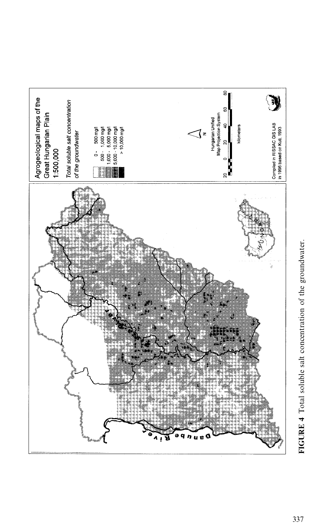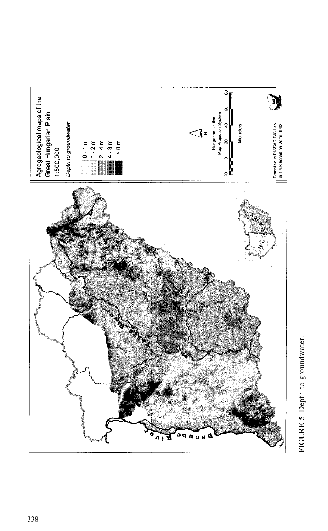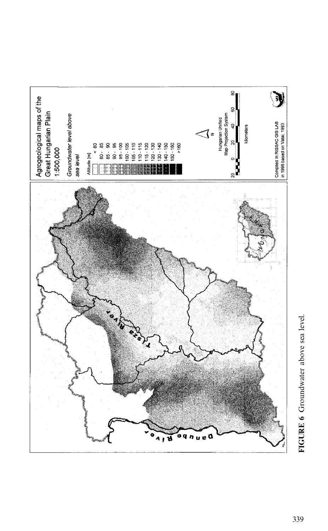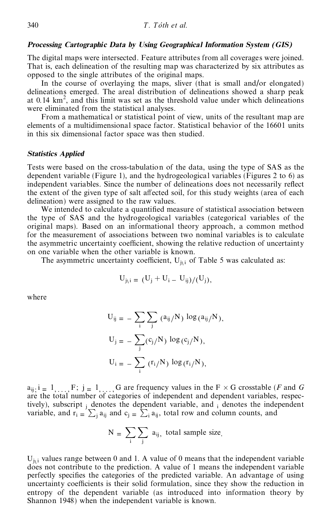### *Processing Cartographic Data by Using Geographical Information System (GIS)*

The digital maps were intersected. Feature attributes from all coverages were joined. That is, each delineation of the resulting map was characterized by six attributes as opposed to the single attributes of the original maps.

In the course of overlaying the maps, sliver (that is small and/or elongated) delineations emerged. The areal distribution of delineations showed a sharp peak at  $0.14 \text{ km}^2$ , and this limit was set as the threshold value under which delineations were eliminated from the statistical analyses.

From a mathematical or statistical point of view, units of the resultant map are elements of a multidimensional space factor. Statistical behavior of the 16601 units in this six dimensional factor space was then studied.

### *Statistics Applied*

Tests were based on the cross-tabulation of the data, using the type of SAS as the dependent variable (Figure 1), and the hydrogeological variables (Figures 2 to 6) as independent variables. Since the number of delineations does not necessarily reflect the extent of the given type of salt affected soil, for this study weights (area of each delineation) were assigned to the raw values.

We intended to calculate a quantified measure of statistical association between the type of SAS and the hydrogeological variables (categorical variables of the original maps). Based on an informational theory approach, a common method for the measurement of associations between two nominal variables is to calculate the asymmetric uncertainty coefficient, showing the relative reduction of uncertainty on one variable when the other variable is known.

The asymmetric uncertainty coefficient,  $U_{j_1 i}$  of Table 5 was calculated as:

$$
U_{j_1 i} = (U_j + U_i - U_{ij})/(U_j),
$$

where

$$
U_{ij} = -\sum_{i} \sum_{j} (a_{ij}/N) \log(a_{ij}/N),
$$
  
\n
$$
U_{j} = -\sum_{j} (c_{j}/N) \log(c_{j}/N),
$$
  
\n
$$
U_{i} = -\sum_{i} (r_{i}/N) \log(r_{i}/N),
$$

 $a_{ij}$ ;  $i = 1, ..., F$ ;  $j = 1, ..., G$  are frequency values in the  $F \times G$  crosstable (*F* and *G* are the total number of categories of independent and dependent variables, respectively), subscript  $_i$  denotes the dependent variable, and  $_i$  denotes the independent variable, and  $r_i = \sum_j a_{ij}$  and  $c_j = \sum_i a_{ij}$ , total row and column counts, and

$$
N = \sum_{i} \sum_{j} a_{ij}
$$
, total sample size.

 $U_{j\setminus i}$  values range between 0 and 1. A value of 0 means that the independent variable does not contribute to the prediction. A value of 1 means the independent variable perfectly specifies the categories of the predicted variable. An advantage of using uncertainty coefficients is their solid formulation, since they show the reduction in entropy of the dependent variable (as introduced into information theory by Shannon 1948) when the independent variable is known.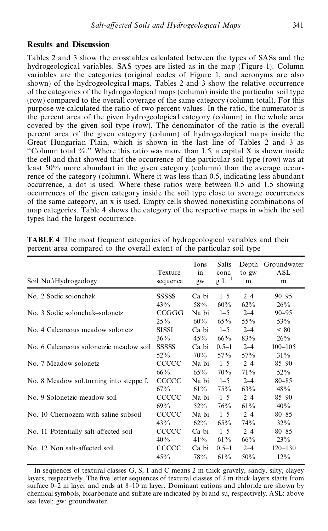# **Results and Discussion**

Tables 2 and 3 show the crosstables calculated between the types of SASs and the hydrogeological variables. SAS types are listed as in the map (Figure 1). Column variables are the categories (original codes of Figure 1, and acronyms are also shown) of the hydrogeological maps. Tables 2 and 3 show the relative occurrence of the categories of the hydrogeological maps (column) inside the particular soil type (row) compared to the overall coverage of the same category (column total). For this purpose we calculated the ratio of two percent values. In the ratio, the numerator is the percent area of the given hydrogeological category (column) in the whole area covered by the given soil type (row). The denominator of the ratio is the overall percent area of the given category (column) of hydrogeological maps inside the Great Hungarian Plain, which is shown in the last line of Tables 2 and 3 as "Column total %." Where this ratio was more than 1.5, a capital X is shown inside the cell and that showed that the occurrence of the particular soil type (row) was at least 50% more abundant in the given category (column) than the average occur rence of the category (column). Where it was less than 0.5, indicating less abundant occurrence, a dot is used. Where these ratios were between 0.5 and 1.5 showing occurrences of the given category inside the soil type close to average occurrences of the same category, an x is used. Empty cells showed nonexisting combinations of map categories. Table 4 shows the category of the respective maps in which the soil types had the largest occurrence.

| Soil No. Hydrogeology                   | Texture<br>sequence | Ions<br>in<br>gw | Salts<br>conc.<br>$g L^{-1}$ | to gw<br>m | Depth Groundwater<br>ASL<br>m |
|-----------------------------------------|---------------------|------------------|------------------------------|------------|-------------------------------|
| No. 2 Sodic solonchak                   | <b>SSSSSS</b>       | Ca bi            | $1 - 5$                      | $2 - 4$    | $90 - 95$                     |
|                                         | 43%                 | 58%              | 60%                          | $62\%$     | $26\%$                        |
| No. 3 Sodic solonchak–solonetz          | CCGGG               | Na bi            | $1 - 5$                      | $2 - 4$    | $90 - 95$                     |
|                                         | 25%                 | $60\%$           | 65%                          | $55\%$     | 53%                           |
| No. 4 Calcareous meadow solonetz        | <b>SISSI</b>        | Ca bi            | $1 - 5$                      | $2 - 4$    | < 80                          |
|                                         | $36\%$              | 45%              | 66%                          | 83%        | 26%                           |
| No. 6 Calcareous solonetzic meadow soil | <b>SSSSSS</b>       | Ca bi            | $0.5 - 1$                    | $2 - 4$    | $100 - 105$                   |
|                                         | $52\%$              | $70\%$           | 57%                          | 57%        | 31%                           |
| No. 7 Meadow solonetz                   | <b>CCCCC</b>        | Na bi            | $1 - 5$                      | $2 - 4$    | $85 - 90$                     |
|                                         | 66%                 | $65\%$           | 70%                          | 71%        | $52\%$                        |
| No. 8 Meadow sol.turning into steppe f. | <b>CCCCC</b>        | Na bi            | $1 - 5$                      | $2 - 4$    | $80 - 85$                     |
|                                         | 67%                 | $61\%$           | 75%                          | 63%        | 48%                           |
| No. 9 Solonetzic meadow soil            | CCCCC               | Na bi            | $1 - 5$                      | $2 - 4$    | $85 - 90$                     |
|                                         | $69\%$              | $52\%$           | 76%                          | 61%        | 40%                           |
| No. 10 Chernozem with saline subsoil    | <b>CCCCC</b>        | Na bi            | $1 - 5$                      | $2 - 4$    | $80 - 85$                     |
|                                         | 43%                 | $62\%$           | 65%                          | 74%        | $32\%$                        |
| No. 11 Potentially salt-affected soil   | <b>CCCCC</b>        | Ca bi            | $1 - 5$                      | $2 - 4$    | $80 - 85$                     |
|                                         | 40%                 | $41\%$           | 61%                          | $66\%$     | 23%                           |
| No. 12 Non salt-affected soil           | <b>CCCCC</b>        | Ca bi            | $0.5 - 1$                    | $2 - 4$    | $120 - 130$                   |
|                                         | 45%                 | 78%              | 61%                          | 50%        | $12\%$                        |

**TABLE 4** The most frequent categories of hydrogeological variables and their percent area compared to the overall extent of the particular soil type

In sequences of textural classes G, S, I and C means 2 m thick gravely, sandy, silty, clayey layers, respectively. The five letter sequences of textural classes of 2 m thick layers starts from surface  $0-2$  m layer and ends at  $8-10$  m layer. Dominant cations and chloride are shown by chemical symbols, bicarbonate and sulfate are indicated by bi and su, respectively. ASL: above sea level; gw: groundwater.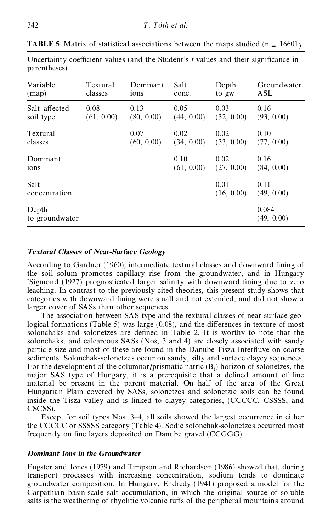| Variable                | Textural   | Dominant         | Salt               | Depth              | Groundwater         |
|-------------------------|------------|------------------|--------------------|--------------------|---------------------|
| $(\text{map})$          | classes    | 10 <sub>ns</sub> | conc.              | to gw              | ASL                 |
| Salt-affected           | 0.08       | 0.13             | 0.05               | 0.03               | 0.16                |
| soil type               | (61, 0.00) | (80, 0.00)       | (44, 0.00)         | (32, 0.00)         | (93, 0.00)          |
| Textural                |            | 0.07             | 0.02               | 0.02               | 0.10                |
| classes                 |            | (60, 0.00)       | (34, 0.00)         | (33, 0.00)         | (77, 0.00)          |
| Dominant<br>ions        |            |                  | 0.10<br>(61, 0.00) | 0.02<br>(27, 0.00) | 0.16<br>(84, 0.00)  |
| Salt<br>concentration   |            |                  |                    | 0.01<br>(16, 0.00) | 0.11<br>(49, 0.00)  |
| Depth<br>to groundwater |            |                  |                    |                    | 0.084<br>(49, 0.00) |

**TABLE 5** Matrix of statistical associations between the maps studied ( $n = 16601$ )

Uncertainty coefficient values (and the Student's *t* values and their significance in

# *Textural Classes of Near-Surfac e Geology*

According to Gardner (1960), intermediate textural classes and downward fining of the soil solum promotes capillary rise from the groundwater, and in Hungary 'Sigmond (1927) prognosticated larger salinity with downward fining due to zero leaching. In contrast to the previously cited theories, this present study shows that categories with downward fining were small and not extended, and did not show a larger cover of SASs than other sequences.

The association between SAS type and the textural classes of near-surface geological formations (Table 5) was large  $(0.08)$ , and the differences in texture of most solonchaks and solonetzes are defined in Table 2. It is worthy to note that the solonchaks, and calcareous SASs (Nos, 3 and 4) are closely associated with sandy particle size and most of these are found in the Danube-Tisza Interfluve on coarse sediments. Solonchak-solonetzes occur on sandy, silty and surface clayey sequences. For the development of the columnar/prismatic natric  $(B_t)$  horizon of solonetzes, the major SAS type of Hungary, it is a prerequisite that a defined amount of fine material be present in the parent material. On half of the area of the Great Hungarian Plain covered by SASs, solonetzes and solonetzic soils can be found inside the Tisza valley and is linked to clayey categories, (CCCCC, CSSSS, and CSCSS).

Except for soil types Nos. 3–4, all soils showed the largest occurrence in either the CCCCC or SSSSS category (Table 4). Sodic solonchak-solonetze s occurred most frequently on fine layers deposited on Danube gravel (CCGGG).

# *Dominant Ions in the Groundwater*

Eugster and Jones (1979) and Timpson and Richardson (1986) showed that, during transport processes with increasing concentration, sodium tends to dominate groundwater composition. In Hungary, Endrédy (1941) proposed a model for the Carpathian basin-scale salt accumulation, in which the original source of soluble salts is the weathering of rhyolitic volcanic tuffs of the peripheral mountains around

parentheses)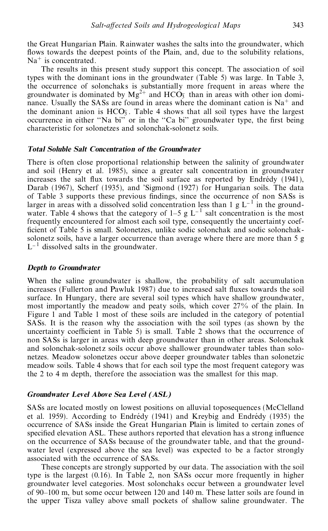the Great Hungarian Plain. Rainwater washes the salts into the groundwater, which flows towards the deepest points of the Plain, and, due to the solubility relations, Na<sup>+</sup> is concentrated.

The results in this present study support this concept. The association of soil types with the dominant ions in the groundwater (Table 5) was large. In Table 3, the occurrence of solonchaks is substantially more frequent in areas where the groundwater is dominated by  $Mg^{2+}$  and  $HCO<sub>3</sub>$  than in areas with other ion dominance. Usually the SASs are found in areas where the dominant cation is  $Na<sup>+</sup>$  and the dominant anion is  $HCO<sub>3</sub>$ . Table 4 shows that all soil types have the largest occurrence in either "Na bi" or in the "Ca bi" groundwater type, the first being characteristic for solonetzes and solonchak-solonetz soils.

#### *Total Soluble Salt Concentration of the Groundwater*

There is often close proportional relationship between the salinity of groundwater and soil (Henry et al. 1985), since a greater salt concentration in groundwater increases the salt flux towards the soil surface as reported by Endrédy  $(1941)$ , Darab (1967), Scherf (1935), and 'Sigmond (1927) for Hungarian soils. The data of Table 3 supports these previous findings, since the occurrence of non SASs is larger in areas with a dissolved solid concentration less than 1 g  $L^{-1}$  in the groundwater. Table 4 shows that the category of  $1-5$  g  $L^{-1}$  salt concentration is the most frequently encountered for almost each soil type, consequently the uncertainty coef ficient of Table 5 is small. Solonetzes, unlike sodic solonchak and sodic solonchaksolonetz soils, have a larger occurrence than average where there are more than 5 g  $L^{-1}$  dissolved salts in the groundwater.

## *Depth to Groundwater*

When the saline groundwater is shallow, the probability of salt accumulation increases (Fullerton and Pawluk 1987) due to increased salt fluxes towards the soil surface. In Hungary, there are several soil types which have shallow groundwater, most importantly the meadow and peaty soils, which cover 27% of the plain. In Figure 1 and Table 1 most of these soils are included in the category of potential SASs. It is the reason why the association with the soil types (as shown by the uncertainty coefficient in Table 5) is small. Table 2 shows that the occurrence of non SASs is larger in areas with deep groundwater than in other areas. Solonchak and solonchak-solonetz soils occur above shallower groundwater tables than solo netzes. Meadow solonetzes occur above deeper groundwater tables than solonetzic meadow soils. Table 4 shows that for each soil type the most frequent category was the 2 to 4 m depth, therefore the association was the smallest for this map.

### *Groundwater Level Above Sea Level (ASL)*

SASs are located mostly on lowest positions on alluvial toposequences (McClelland et al. 1959). According to Endrédy  $(1941)$  and Kreybig and Endrédy  $(1935)$  the occurrence of SASs inside the Great Hungarian Plain is limited to certain zones of specified elevation ASL. These authors reported that elevation has a strong influence on the occurrence of SASs because of the groundwater table, and that the ground water level (expressed above the sea level) was expected to be a factor strongly associated with the occurrence of SASs.

These concepts are strongly supported by our data. The association with the soil type is the largest (0.16). In Table 2, non SASs occur more frequently in higher groundwater level categories. Most solonchaks occur between a groundwater level of 90–100 m, but some occur between 120 and 140 m. These latter soils are found in the upper Tisza valley above small pockets of shallow saline groundwater. The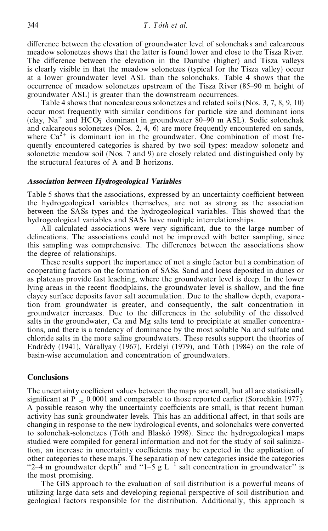difference between the elevation of groundwater level of solonchaks and calcareous meadow solonetzes shows that the latter is found lower and close to the Tisza River. The difference between the elevation in the Danube (higher) and Tisza valleys is clearly visible in that the meadow solonetzes (typical for the Tisza valley) occur at a lower groundwater level ASL than the solonchaks. Table 4 shows that the occurrence of meadow solonetzes upstream of the Tisza River (85–90 m height of groundwater ASL) is greater than the downstream occurrences.

Table 4 shows that noncalcareous solonetzes and related soils (Nos. 3, 7, 8, 9, 10) occur most frequently with similar conditions for particle size and dominant ions (clay,  $Na^+$  and  $HCO<sub>3</sub>$  dominant in groundwater 80–90 m ASL). Sodic solonchak and calcareous solonetzes (Nos. 2, 4, 6) are more frequently encountered on sands, where  $Ca^{2+}$  is dominant ion in the groundwater. One combination of most frequently encountered categories is shared by two soil types: meadow solonetz and solonetzic meadow soil (Nos. 7 and 9) are closely related and distinguished only by the structural features of A and B horizons.

### *Association between Hydrogeological Variables*

Table 5 shows that the associations, expressed by an uncertainty coefficient between the hydrogeological variables themselves, are not as strong as the association between the SASs types and the hydrogeological variables. This showed that the hydrogeological variables and SASs have multiple interrelationships.

All calculated associations were very significant, due to the large number of delineations. The associations could not be improved with better sampling, since this sampling was comprehensive. The differences between the associations show the degree of relationships.

These results support the importance of not a single factor but a combination of cooperating factors on the formation of SASs. Sand and loess deposited in dunes or as plateaus provide fast leaching, where the groundwater level is deep. In the lower lying areas in the recent floodplains, the groundwater level is shallow, and the fine clayey surface deposits favor salt accumulation. Due to the shallow depth, evaporation from groundwater is greater, and consequently, the salt concentration in groundwater increases. Due to the differences in the solubility of the dissolved salts in the groundwater, Ca and Mg salts tend to precipitate at smaller concentrations, and there is a tendency of dominance by the most soluble Na and sulfate and chloride salts in the more saline groundwaters. These results support the theories of Endrédy (1941), Várallyay (1967), Erdélyi (1979), and Tóth (1984) on the role of basin-wise accumulation and concentration of groundwaters.

### **Conclusions**

The uncertainty coefficient values between the maps are small, but all are statistically significant at P  $<$  0.0001 and comparable to those reported earlier (Sorochkin 1977).<br>A possible reason why the uncertainty coefficients are small, is that recent human activity has sunk groundwater levels. This has an additional affect, in that soils are changing in response to the new hydrological events, and solonchaks were converted to solonchak-solonetzes (Tóth and Blaskó 1998). Since the hydrogeological maps studied were compiled for general information and not for the study of soil salinization, an increase in uncertainty coefficients may be expected in the application of other categories to these maps. The separation of new categories inside the categories "2-4 m groundwater depth" and "1-5 g L<sup>-1</sup> salt concentration in groundwater" is the most promising.

The GIS approach to the evaluation of soil distribution is a powerful means of utilizing large data sets and developing regional perspective of soil distribution and geological factors responsible for the distribution. Additionally, this approach is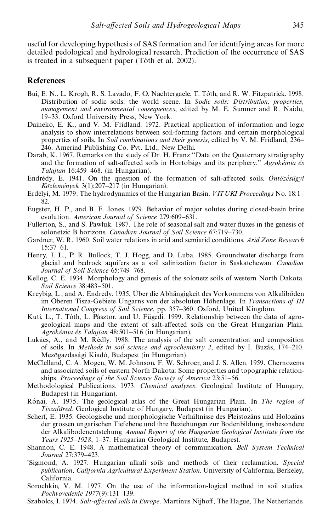useful for developing hypothesis of SAS formation and for identifying areas for more detailed pedological and hydrological research. Prediction of the occurrence of SAS is treated in a subsequent paper (Tóth et al. 2002).

# **References**

- Bui, E. N., L. Krogh, R. S. Lavado, F. O. Nachtergaele, T. Tóth, and R. W. Fitzpatrick. 1998. Distribution of sodic soils: the world scene. In Sodic soils: Distribution, properties, management and environmental consequences, edited by M. E. Sumner and R. Naidu, 19-33. Oxford University Press, New York.
- Daineko, E. K., and V. M. Fridland. 1972. Practical application of information and logic analysis to show interrelations between soil-forming factors and certain morphological properties of soils. In Soil combinations and their genesis, edited by V. M. Fridland, 236– 246. Amerind Publishing Co. Pvt. Ltd., New Delhi.
- Darab, K. 1967. Remarks on the study of Dr. H. Franz "Data on the Quaternary stratigraphy and the formation of salt-affected soils in Hortobágy and its periphery." Agrokémia és Talajtan 16:459-468. (in Hungarian).
- Endrédy, E. 1941. On the question of the formation of salt-affected soils. Ontozésügyi Közlemények 3(1):207–217 (in Hungarian).
- Erdélyi, M. 1979. The hydrodynamics of the Hungarian Basin. VIT UKI Proceedings No. 18:1– 82.
- Eugster, H. P., and B. F. Jones. 1979. Behavior of major solutes during closed-basin brine evolution. American Journal of Science 279:609-631.
- Fullerton, S., and S. Pawluk. 1987. The role of seasonal salt and water fluxes in the genesis of solonetzic B horizons. Canadian Journal of Soil Science 67:719-730.
- Gardner, W. R. 1960. Soil water relations in arid and semiarid conditions. Arid Zone Research  $15:37-61.$
- Henry, J. L., P. R. Bullock, T. J. Hogg, and D. Luba. 1985. Groundwater discharge from glacial and bedrock aquifers as a soil salinization factor in Saskatchewan. Canadian Journal of Soil Science 65:749-768.
- Kellog, C. E. 1934. Morphology and genesis of the solonetz soils of western North Dakota. Soil Science 38:483-501.
- Kreybig, L., and A. Endrédy. 1935. Über die Abhängigkeit des Vorkommens von Alkaliböden im Oberen Tisza-Gebiete Ungarns von der absoluten Höhenlage. In Transactions of III International Congress of Soil Science, pp. 357-360. Oxford, United Kingdom.
- Kuti, L., T. Tóth, L. Pásztor, and U. Fügedi. 1999. Relationship between the data of agrogeological maps and the extent of salt-affected soils on the Great Hungarian Plain. Agrokémia és Talajtan 48:501–516 (in Hungarian).
- Lukács, A., and M. Rédly. 1988. The analysis of the salt concentration and composition of soils. In Methods in soil science and agrochemistry 2, edited by I. Buzás, 174–210. Mezögazdasági Kiadó, Budapest (in Hungarian).
- McClelland, C. A. Mogen, W. M. Johnson, F. W. Schroer, and J. S. Allen. 1959. Chernozems and associated soils of eastern North Dakota: Some properties and topographic relationships. Proceedings of the Soil Science Society of America 23:51-56.
- Methodological Publications. 1973. Chemical analyses. Geological Institute of Hungary, Budapest (in Hungarian).
- Rónai, A. 1975. The geological atlas of the Great Hungarian Plain. In The region of Tiszafüred. Geological Institute of Hungary, Budapest (in Hungarian).
- Scherf, E. 1935. Geologische und morphologische Verhältnisse des Pleistozäns und Holozäns der grossen ungarischen Tiefebene und ihre Beziehungen zur Bodenbildung, insbesondere der Alkalibodenentstehung, Annual Report of the Hungarian Geological Institute from the Years 1925–1928, 1–37. Hungarian Geological Institute, Budapest.
- Shannon, C. E. 1948. A mathematical theory of communication. Bell System Technical Journal 27:379-423.
- 'Sigmond, A. 1927. Hungarian alkali soils and methods of their reclamation. Special publication, California Agricultural Experiment Station. University of California, Berkeley, California.
- Sorochkin, V. M. 1977. On the use of the information-logical method in soil studies. Pochvovedenie 1977(9):131-139.
- Szabolcs, I. 1974. Salt-affected soils in Europe. Martinus Nijhoff, The Hague, The Netherlands.